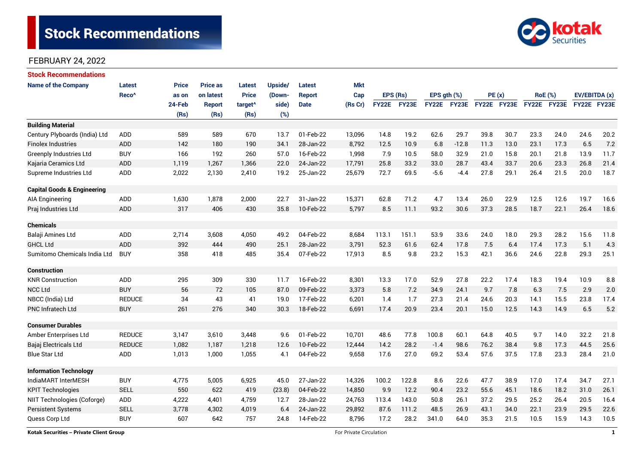# **Stock Recommendations**



### FEBRUARY 24, 2022

| <b>Stock Recommendations</b>                   |                   |              |                 |                     |                         |               |            |              |              |             |                    |             |      |                |             |               |      |
|------------------------------------------------|-------------------|--------------|-----------------|---------------------|-------------------------|---------------|------------|--------------|--------------|-------------|--------------------|-------------|------|----------------|-------------|---------------|------|
| <b>Name of the Company</b>                     | <b>Latest</b>     | <b>Price</b> | <b>Price as</b> | Latest              | Upside/                 | <b>Latest</b> | <b>Mkt</b> |              |              |             |                    |             |      |                |             |               |      |
|                                                | Reco <sup>^</sup> | as on        | on latest       | <b>Price</b>        | (Down-                  | <b>Report</b> | Cap        | EPS (Rs)     |              | EPS gth (%) |                    | PE(x)       |      | <b>RoE</b> (%) |             | EV/EBITDA (x) |      |
|                                                |                   | 24-Feb       | <b>Report</b>   | target <sup>^</sup> | side)                   | <b>Date</b>   | (Rs Cr)    | <b>FY22E</b> | <b>FY23E</b> |             | <b>FY22E FY23E</b> | FY22E FY23E |      |                | FY22E FY23E | FY22E FY23E   |      |
|                                                |                   | (Rs)         | (Rs)            | (Rs)                | (%)                     |               |            |              |              |             |                    |             |      |                |             |               |      |
| <b>Building Material</b>                       |                   |              |                 |                     |                         |               |            |              |              |             |                    |             |      |                |             |               |      |
| Century Plyboards (India) Ltd                  | <b>ADD</b>        | 589          | 589             | 670                 | 13.7                    | 01-Feb-22     | 13,096     | 14.8         | 19.2         | 62.6        | 29.7               | 39.8        | 30.7 | 23.3           | 24.0        | 24.6          | 20.2 |
| <b>Finolex Industries</b>                      | ADD               | 142          | 180             | 190                 | 34.1                    | 28-Jan-22     | 8,792      | 12.5         | 10.9         | 6.8         | $-12.8$            | 11.3        | 13.0 | 23.1           | 17.3        | 6.5           | 7.2  |
| Greenply Industries Ltd                        | <b>BUY</b>        | 166          | 192             | 260                 | 57.0                    | 16-Feb-22     | 1,998      | 7.9          | 10.5         | 58.0        | 32.9               | 21.0        | 15.8 | 20.1           | 21.8        | 13.9          | 11.7 |
| Kajaria Ceramics Ltd                           | ADD               | 1,119        | 1,267           | 1,366               | 22.0                    | 24-Jan-22     | 17,791     | 25.8         | 33.2         | 33.0        | 28.7               | 43.4        | 33.7 | 20.6           | 23.3        | 26.8          | 21.4 |
| Supreme Industries Ltd                         | ADD               | 2,022        | 2,130           | 2,410               | 19.2                    | 25-Jan-22     | 25,679     | 72.7         | 69.5         | $-5.6$      | $-4.4$             | 27.8        | 29.1 | 26.4           | 21.5        | 20.0          | 18.7 |
| <b>Capital Goods &amp; Engineering</b>         |                   |              |                 |                     |                         |               |            |              |              |             |                    |             |      |                |             |               |      |
| <b>AIA Engineering</b>                         | ADD               | 1,630        | 1,878           | 2,000               | 22.7                    | 31-Jan-22     | 15,371     | 62.8         | 71.2         | 4.7         | 13.4               | 26.0        | 22.9 | 12.5           | 12.6        | 19.7          | 16.6 |
| Praj Industries Ltd                            | ADD               | 317          | 406             | 430                 | 35.8                    | 10-Feb-22     | 5,797      | 8.5          | 11.1         | 93.2        | 30.6               | 37.3        | 28.5 | 18.7           | 22.1        | 26.4          | 18.6 |
| <b>Chemicals</b>                               |                   |              |                 |                     |                         |               |            |              |              |             |                    |             |      |                |             |               |      |
| Balaji Amines Ltd                              | <b>ADD</b>        | 2,714        | 3,608           | 4,050               | 49.2                    | 04-Feb-22     | 8,684      | 113.1        | 151.1        | 53.9        | 33.6               | 24.0        | 18.0 | 29.3           | 28.2        | 15.6          | 11.8 |
| <b>GHCL Ltd</b>                                | <b>ADD</b>        | 392          | 444             | 490                 | 25.1                    | 28-Jan-22     | 3,791      | 52.3         | 61.6         | 62.4        | 17.8               | 7.5         | 6.4  | 17.4           | 17.3        | 5.1           | 4.3  |
| Sumitomo Chemicals India Ltd                   | <b>BUY</b>        | 358          | 418             | 485                 | 35.4                    | 07-Feb-22     | 17,913     | 8.5          | 9.8          | 23.2        | 15.3               | 42.1        | 36.6 | 24.6           | 22.8        | 29.3          | 25.1 |
| <b>Construction</b>                            |                   |              |                 |                     |                         |               |            |              |              |             |                    |             |      |                |             |               |      |
| <b>KNR Construction</b>                        | <b>ADD</b>        | 295          | 309             | 330                 | 11.7                    | 16-Feb-22     | 8,301      | 13.3         | 17.0         | 52.9        | 27.8               | 22.2        | 17.4 | 18.3           | 19.4        | 10.9          | 8.8  |
| <b>NCC Ltd</b>                                 | <b>BUY</b>        | 56           | 72              | 105                 | 87.0                    | 09-Feb-22     | 3,373      | 5.8          | 7.2          | 34.9        | 24.1               | 9.7         | 7.8  | 6.3            | 7.5         | 2.9           | 2.0  |
| NBCC (India) Ltd                               | <b>REDUCE</b>     | 34           | 43              | 41                  | 19.0                    | 17-Feb-22     | 6,201      | 1.4          | 1.7          | 27.3        | 21.4               | 24.6        | 20.3 | 14.1           | 15.5        | 23.8          | 17.4 |
| <b>PNC Infratech Ltd</b>                       | <b>BUY</b>        | 261          | 276             | 340                 | 30.3                    | 18-Feb-22     | 6,691      | 17.4         | 20.9         | 23.4        | 20.1               | 15.0        | 12.5 | 14.3           | 14.9        | 6.5           | 5.2  |
| <b>Consumer Durables</b>                       |                   |              |                 |                     |                         |               |            |              |              |             |                    |             |      |                |             |               |      |
| Amber Enterprises Ltd                          | <b>REDUCE</b>     | 3,147        | 3,610           | 3,448               | 9.6                     | 01-Feb-22     | 10,701     | 48.6         | 77.8         | 100.8       | 60.1               | 64.8        | 40.5 | 9.7            | 14.0        | 32.2          | 21.8 |
| Bajaj Electricals Ltd                          | <b>REDUCE</b>     | 1,082        | 1,187           | 1,218               | 12.6                    | 10-Feb-22     | 12,444     | 14.2         | 28.2         | $-1.4$      | 98.6               | 76.2        | 38.4 | 9.8            | 17.3        | 44.5          | 25.6 |
| <b>Blue Star Ltd</b>                           | ADD               | 1,013        | 1,000           | 1,055               | 4.1                     | 04-Feb-22     | 9,658      | 17.6         | 27.0         | 69.2        | 53.4               | 57.6        | 37.5 | 17.8           | 23.3        | 28.4          | 21.0 |
| <b>Information Technology</b>                  |                   |              |                 |                     |                         |               |            |              |              |             |                    |             |      |                |             |               |      |
| IndiaMART InterMESH                            | <b>BUY</b>        | 4,775        | 5,005           | 6,925               | 45.0                    | 27-Jan-22     | 14,326     | 100.2        | 122.8        | 8.6         | 22.6               | 47.7        | 38.9 | 17.0           | 17.4        | 34.7          | 27.1 |
| <b>KPIT Technologies</b>                       | <b>SELL</b>       | 550          | 622             | 419                 | (23.8)                  | 04-Feb-22     | 14,850     | 9.9          | 12.2         | 90.4        | 23.2               | 55.6        | 45.1 | 18.6           | 18.2        | 31.0          | 26.1 |
| NIIT Technologies (Coforge)                    | ADD               | 4,222        | 4,401           | 4,759               | 12.7                    | 28-Jan-22     | 24,763     | 113.4        | 143.0        | 50.8        | 26.1               | 37.2        | 29.5 | 25.2           | 26.4        | 20.5          | 16.4 |
| <b>Persistent Systems</b>                      | <b>SELL</b>       | 3,778        | 4,302           | 4,019               | 6.4                     | 24-Jan-22     | 29,892     | 87.6         | 111.2        | 48.5        | 26.9               | 43.1        | 34.0 | 22.1           | 23.9        | 29.5          | 22.6 |
| Quess Corp Ltd                                 | <b>BUY</b>        | 607          | 642             | 757                 | 24.8                    | 14-Feb-22     | 8,796      | 17.2         | 28.2         | 341.0       | 64.0               | 35.3        | 21.5 | 10.5           | 15.9        | 14.3          | 10.5 |
| <b>Kotak Securities - Private Client Group</b> |                   |              |                 |                     | For Private Circulation |               |            |              |              |             |                    |             |      |                | <b>1</b>    |               |      |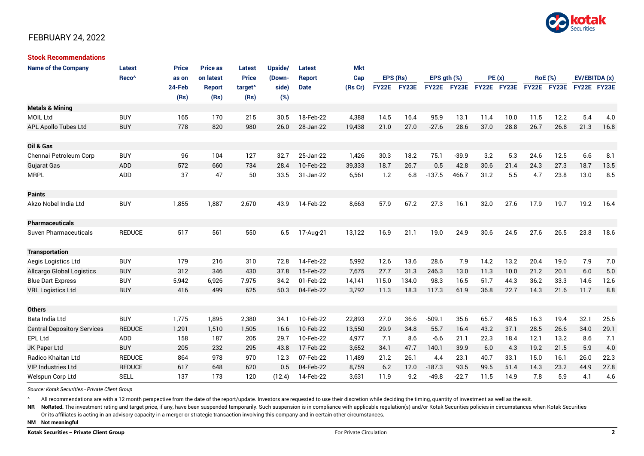

### FEBRUARY 24, 2022

| <b>Stock Recommendations</b>       |                   |              |                 |                     |         |               |         |             |       |                  |             |             |      |                |      |               |      |
|------------------------------------|-------------------|--------------|-----------------|---------------------|---------|---------------|---------|-------------|-------|------------------|-------------|-------------|------|----------------|------|---------------|------|
| <b>Name of the Company</b>         | <b>Latest</b>     | <b>Price</b> | <b>Price as</b> | Latest              | Upside/ | Latest        | Mkt     |             |       |                  |             |             |      |                |      |               |      |
|                                    | Reco <sup>^</sup> | as on        | on latest       | <b>Price</b>        | (Down-  | <b>Report</b> | Cap     | EPS (Rs)    |       | EPS $qth$ $(\%)$ |             | PE(x)       |      | <b>RoE</b> (%) |      | EV/EBITDA (x) |      |
|                                    |                   | 24-Feb       | <b>Report</b>   | target <sup>^</sup> | side)   | <b>Date</b>   | (Rs Cr) | FY22E FY23E |       |                  | FY22E FY23E | FY22E FY23E |      | FY22E FY23E    |      | FY22E FY23E   |      |
|                                    |                   | (Rs)         | (Rs)            | (Rs)                | (%)     |               |         |             |       |                  |             |             |      |                |      |               |      |
| <b>Metals &amp; Mining</b>         |                   |              |                 |                     |         |               |         |             |       |                  |             |             |      |                |      |               |      |
| <b>MOIL Ltd</b>                    | <b>BUY</b>        | 165          | 170             | 215                 | 30.5    | 18-Feb-22     | 4,388   | 14.5        | 16.4  | 95.9             | 13.1        | 11.4        | 10.0 | 11.5           | 12.2 | 5.4           | 4.0  |
| APL Apollo Tubes Ltd               | <b>BUY</b>        | 778          | 820             | 980                 | 26.0    | 28-Jan-22     | 19,438  | 21.0        | 27.0  | $-27.6$          | 28.6        | 37.0        | 28.8 | 26.7           | 26.8 | 21.3          | 16.8 |
| Oil & Gas                          |                   |              |                 |                     |         |               |         |             |       |                  |             |             |      |                |      |               |      |
| Chennai Petroleum Corp             | <b>BUY</b>        | 96           | 104             | 127                 | 32.7    | 25-Jan-22     | 1,426   | 30.3        | 18.2  | 75.1             | $-39.9$     | 3.2         | 5.3  | 24.6           | 12.5 | 6.6           | 8.1  |
| <b>Gujarat Gas</b>                 | <b>ADD</b>        | 572          | 660             | 734                 | 28.4    | 10-Feb-22     | 39,333  | 18.7        | 26.7  | 0.5              | 42.8        | 30.6        | 21.4 | 24.3           | 27.3 | 18.7          | 13.5 |
| <b>MRPL</b>                        | <b>ADD</b>        | 37           | 47              | 50                  | 33.5    | 31-Jan-22     | 6,561   | 1.2         | 6.8   | $-137.5$         | 466.7       | 31.2        | 5.5  | 4.7            | 23.8 | 13.0          | 8.5  |
| <b>Paints</b>                      |                   |              |                 |                     |         |               |         |             |       |                  |             |             |      |                |      |               |      |
| Akzo Nobel India Ltd               | <b>BUY</b>        | 1,855        | 1,887           | 2,670               | 43.9    | 14-Feb-22     | 8,663   | 57.9        | 67.2  | 27.3             | 16.1        | 32.0        | 27.6 | 17.9           | 19.7 | 19.2          | 16.4 |
| <b>Pharmaceuticals</b>             |                   |              |                 |                     |         |               |         |             |       |                  |             |             |      |                |      |               |      |
| Suven Pharmaceuticals              | <b>REDUCE</b>     | 517          | 561             | 550                 | 6.5     | 17-Aug-21     | 13,122  | 16.9        | 21.1  | 19.0             | 24.9        | 30.6        | 24.5 | 27.6           | 26.5 | 23.8          | 18.6 |
| <b>Transportation</b>              |                   |              |                 |                     |         |               |         |             |       |                  |             |             |      |                |      |               |      |
| Aegis Logistics Ltd                | <b>BUY</b>        | 179          | 216             | 310                 | 72.8    | 14-Feb-22     | 5,992   | 12.6        | 13.6  | 28.6             | 7.9         | 14.2        | 13.2 | 20.4           | 19.0 | 7.9           | 7.0  |
| <b>Allcargo Global Logistics</b>   | <b>BUY</b>        | 312          | 346             | 430                 | 37.8    | 15-Feb-22     | 7,675   | 27.7        | 31.3  | 246.3            | 13.0        | 11.3        | 10.0 | 21.2           | 20.1 | 6.0           | 5.0  |
| <b>Blue Dart Express</b>           | <b>BUY</b>        | 5,942        | 6,926           | 7,975               | 34.2    | 01-Feb-22     | 14,141  | 115.0       | 134.0 | 98.3             | 16.5        | 51.7        | 44.3 | 36.2           | 33.3 | 14.6          | 12.6 |
| <b>VRL Logistics Ltd</b>           | <b>BUY</b>        | 416          | 499             | 625                 | 50.3    | 04-Feb-22     | 3,792   | 11.3        | 18.3  | 117.3            | 61.9        | 36.8        | 22.7 | 14.3           | 21.6 | 11.7          | 8.8  |
| <b>Others</b>                      |                   |              |                 |                     |         |               |         |             |       |                  |             |             |      |                |      |               |      |
| Bata India Ltd                     | <b>BUY</b>        | 1,775        | 1,895           | 2,380               | 34.1    | 10-Feb-22     | 22,893  | 27.0        | 36.6  | $-509.1$         | 35.6        | 65.7        | 48.5 | 16.3           | 19.4 | 32.1          | 25.6 |
| <b>Central Depository Services</b> | <b>REDUCE</b>     | 1,291        | 1.510           | 1,505               | 16.6    | 10-Feb-22     | 13,550  | 29.9        | 34.8  | 55.7             | 16.4        | 43.2        | 37.1 | 28.5           | 26.6 | 34.0          | 29.1 |
| EPL Ltd                            | <b>ADD</b>        | 158          | 187             | 205                 | 29.7    | 10-Feb-22     | 4,977   | 7.1         | 8.6   | $-6.6$           | 21.1        | 22.3        | 18.4 | 12.1           | 13.2 | 8.6           | 7.1  |
| JK Paper Ltd                       | <b>BUY</b>        | 205          | 232             | 295                 | 43.8    | 17-Feb-22     | 3,652   | 34.1        | 47.7  | 140.1            | 39.9        | 6.0         | 4.3  | 19.2           | 21.5 | 5.9           | 4.0  |
| Radico Khaitan Ltd                 | <b>REDUCE</b>     | 864          | 978             | 970                 | 12.3    | 07-Feb-22     | 11.489  | 21.2        | 26.1  | 4.4              | 23.1        | 40.7        | 33.1 | 15.0           | 16.1 | 26.0          | 22.3 |
| <b>VIP Industries Ltd</b>          | <b>REDUCE</b>     | 617          | 648             | 620                 | 0.5     | 04-Feb-22     | 8,759   | 6.2         | 12.0  | $-187.3$         | 93.5        | 99.5        | 51.4 | 14.3           | 23.2 | 44.9          | 27.8 |
| Welspun Corp Ltd                   | <b>SELL</b>       | 137          | 173             | 120                 | (12.4)  | 14-Feb-22     | 3,631   | 11.9        | 9.2   | $-49.8$          | $-22.7$     | 11.5        | 14.9 | 7.8            | 5.9  | 4.1           | 4.6  |

*Source: Kotak Securities - Private Client Group*

All recommendations are with a 12 month perspective from the date of the report/update. Investors are requested to use their discretion while deciding the timing, quantity of investment as well as the exit.

NR NoRated. The investment rating and target price, if any, have been suspended temporarily. Such suspension is in compliance with applicable regulation(s) and/or Kotak Securities policies in circumstances when Kotak Secur

Or its affiliates is acting in an advisory capacity in a merger or strategic transaction involving this company and in certain other circumstances.

**NM Not meaningful**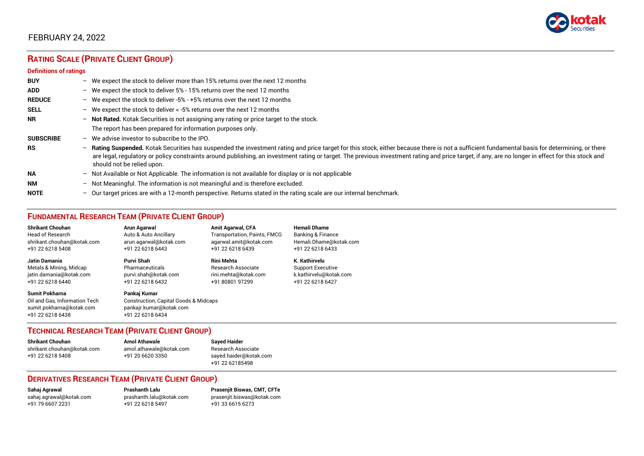

### FEBRUARY 24, 2022

## **RATING SCALE (PRIVATE CLIENT GROUP)**

#### **Definitions of ratings**

| <b>BUY</b>       |   | - We expect the stock to deliver more than 15% returns over the next 12 months                                                                                                                                                                                                                                                                                                                                                     |
|------------------|---|------------------------------------------------------------------------------------------------------------------------------------------------------------------------------------------------------------------------------------------------------------------------------------------------------------------------------------------------------------------------------------------------------------------------------------|
| <b>ADD</b>       |   | - We expect the stock to deliver 5% - 15% returns over the next 12 months                                                                                                                                                                                                                                                                                                                                                          |
| <b>REDUCE</b>    |   | - We expect the stock to deliver -5% - +5% returns over the next 12 months                                                                                                                                                                                                                                                                                                                                                         |
| <b>SELL</b>      |   | - We expect the stock to deliver < -5% returns over the next 12 months                                                                                                                                                                                                                                                                                                                                                             |
| <b>NR</b>        |   | - Not Rated. Kotak Securities is not assigning any rating or price target to the stock.                                                                                                                                                                                                                                                                                                                                            |
|                  |   | The report has been prepared for information purposes only.                                                                                                                                                                                                                                                                                                                                                                        |
| <b>SUBSCRIBE</b> |   | $-$ We advise investor to subscribe to the IPO.                                                                                                                                                                                                                                                                                                                                                                                    |
| <b>RS</b>        |   | - Rating Suspended. Kotak Securities has suspended the investment rating and price target for this stock, either because there is not a sufficient fundamental basis for determining, or there<br>are legal, regulatory or policy constraints around publishing, an investment rating or target. The previous investment rating and price target, if any, are no longer in effect for this stock and<br>should not be relied upon. |
| <b>NA</b>        |   | $-$ Not Available or Not Applicable. The information is not available for display or is not applicable                                                                                                                                                                                                                                                                                                                             |
| <b>NM</b>        |   | - Not Meaningful. The information is not meaningful and is therefore excluded.                                                                                                                                                                                                                                                                                                                                                     |
| <b>NOTE</b>      | - | Our target prices are with a 12-month perspective. Returns stated in the rating scale are our internal benchmark.                                                                                                                                                                                                                                                                                                                  |

### **FUNDAMENTAL RESEARCH TEAM (PRIVATE CLIENT GROUP)**

| <b>Shrikant Chouhan</b>                                                                                | Arun Agarwal                                                                                                    | <b>Amit Agarwal, CFA</b>            | <b>Hemali Dhame</b>          |
|--------------------------------------------------------------------------------------------------------|-----------------------------------------------------------------------------------------------------------------|-------------------------------------|------------------------------|
| <b>Head of Research</b>                                                                                | Auto & Auto Ancillary                                                                                           | <b>Transportation, Paints, FMCG</b> | <b>Banking &amp; Finance</b> |
| shrikant.chouhan@kotak.com                                                                             | arun.agarwal@kotak.com                                                                                          | agarwal.amit@kotak.com              | Hemali.Dhame@kotak.com       |
| +91 22 6218 5408                                                                                       | +91 22 6218 6443                                                                                                | +91 22 6218 6439                    | +91 22 6218 6433             |
| Jatin Damania                                                                                          | Purvi Shah                                                                                                      | <b>Rini Mehta</b>                   | K. Kathirvelu                |
| Metals & Mining, Midcap                                                                                | Pharmaceuticals                                                                                                 | <b>Research Associate</b>           | <b>Support Executive</b>     |
| jatin.damania@kotak.com                                                                                | purvi.shah@kotak.com                                                                                            | rini.mehta@kotak.com                | k.kathirvelu@kotak.com       |
| +91 22 6218 6440                                                                                       | +91 22 6218 6432                                                                                                | +91 80801 97299                     | +91 22 6218 6427             |
| <b>Sumit Pokharna</b><br>Oil and Gas, Information Tech<br>sumit.pokharna@kotak.com<br>+91 22 6218 6438 | Pankaj Kumar<br><b>Construction, Capital Goods &amp; Midcaps</b><br>pankajr.kumar@kotak.com<br>+91 22 6218 6434 |                                     |                              |

#### **TECHNICAL RESEARCH TEAM (PRIVATE CLIENT GROUP)**

| <b>Shrikant Chouhan</b>    | <b>Amol Athawale</b>    |  |
|----------------------------|-------------------------|--|
| shrikant.chouhan@kotak.com | amol.athawale@kotak.com |  |
| +91 22 6218 5408           | +91 20 6620 3350        |  |
|                            |                         |  |

**Sayed Haider** Research Associate [sayed.haider@kotak.com](mailto:sayed.haider@kotak.com) +91 22 62185498

#### **DERIVATIVES RESEARCH TEAM (PRIVATE CLIENT GROUP)**

+91 22 6218 5497 +91 33 6615 6273

**Sahaj Agrawal Prashanth Lalu Prasenjit Biswas, CMT, CFTe** [sahaj.agrawal@kotak.com](mailto:sahaj.agrawal@kotak.com) [prashanth.lalu@kotak.com](mailto:prashanth.lalu@kotak.com) [prasenjit.biswas@kotak.com](mailto:prasenjit.biswas@kotak.com)